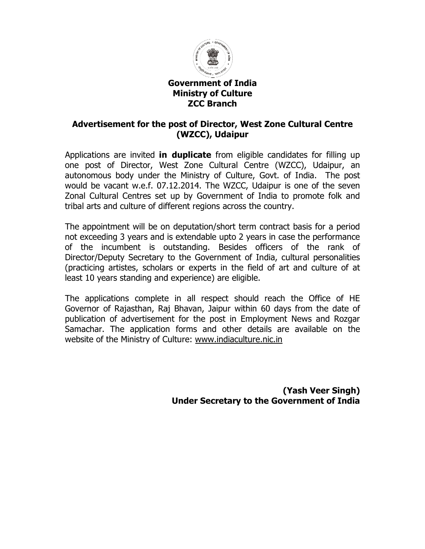

#### Government of India Ministry of Culture ZCC Branch

## Advertisement for the post of Director, West Zone Cultural Centre (WZCC), Udaipur

Applications are invited **in duplicate** from eligible candidates for filling up Applications are invited **in duplicate** from eligible candidates for filling up<br>one post of Director, West Zone Cultural Centre (WZCC), Udaipur, an autonomous body under the Ministry of Culture, Govt. of India. The post would be vacant w.e.f. 07.12.2014. The WZCC, Udaipur is one of the seven Zonal Cultural Centres set up by Government of India to promote folk and tribal arts and culture of different regions across the country.

The appointment will be on deputation/short term contract basis for a period not exceeding 3 years and is extendable upto 2 years in case the performance of the incumbent is outstanding. Besides officers of the rank of Director/Deputy Secretary to the Government of India, cultural personalities (practicing artistes, scholars or experts in the field of art and culture of least 10 years standing and experience) are eligible. onal Cultural Centres set up by Government of India to promote folk and<br>ibal arts and culture of different regions across the country.<br>he appointment will be on deputation/short term contract basis for a period<br>ot exceedin outstanding. Besides officers of the<br>to the Government of India, cultural p<br>ars or experts in the field of art and cu<br>d experience) are eligible.<br>e in all respect should reach the Of Zonal Cultural Centres set up by Government of India to promote folk and<br>tribal arts and culture of different regions across the country.<br>The appointment will be on deputation/short term contract basis for a period<br>not exc

The applications complete in all respect should reach the Office of HE Governor of Rajasthan, Raj Bhavan, Jaipur within 60 days from the date of publication of advertisement for the post in Employment News and Rozgar Samachar. The application forms and other details are available on the<br>website.of the Ministry of Culture: <u>www.indiaculture.nic.in</u> website of the Ministry of Culture: www.indiaculture.nic.in Governor of Rajasthan, Raj Bhavan, Jaipur within 60 days from the<br>publication of advertisement for the post in Employment News and<br>Samachar. The application forms and other details are available

> (Yash Veer Singh) Under Secretary to the Government of India Veer Singh)<br>ent of India<br>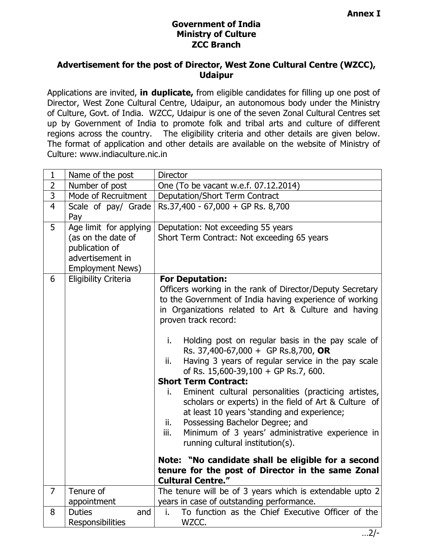# Government of India Ministry of Culture ZCC Branch

### Advertisement for the post of Director, West Zone Cultural Centre (WZCC), Udaipur

Applications are invited, in duplicate, from eligible candidates for filling up one post of Director, West Zone Cultural Centre, Udaipur, an autonomous body under the Ministry of Culture, Govt. of India. WZCC, Udaipur is one of the seven Zonal Cultural Centres set up by Government of India to promote folk and tribal arts and culture of different regions across the country. The eligibility criteria and other details are given below. The format of application and other details are available on the website of Ministry of Culture: www.indiaculture.nic.in

| $\mathbf{1}$   | Name of the post                                                                                              | Director                                                                                                                                                                                                                                                                                                                                                                                                                                                                                                                                                                                                                                                                                                                                                                                                                                                                                                                      |
|----------------|---------------------------------------------------------------------------------------------------------------|-------------------------------------------------------------------------------------------------------------------------------------------------------------------------------------------------------------------------------------------------------------------------------------------------------------------------------------------------------------------------------------------------------------------------------------------------------------------------------------------------------------------------------------------------------------------------------------------------------------------------------------------------------------------------------------------------------------------------------------------------------------------------------------------------------------------------------------------------------------------------------------------------------------------------------|
| $\overline{2}$ | Number of post                                                                                                | One (To be vacant w.e.f. 07.12.2014)                                                                                                                                                                                                                                                                                                                                                                                                                                                                                                                                                                                                                                                                                                                                                                                                                                                                                          |
| $\overline{3}$ | Mode of Recruitment                                                                                           | Deputation/Short Term Contract                                                                                                                                                                                                                                                                                                                                                                                                                                                                                                                                                                                                                                                                                                                                                                                                                                                                                                |
| $\overline{4}$ | Scale of pay/ Grade<br>Pay                                                                                    | Rs.37,400 - 67,000 + GP Rs. 8,700                                                                                                                                                                                                                                                                                                                                                                                                                                                                                                                                                                                                                                                                                                                                                                                                                                                                                             |
| 5              | Age limit for applying<br>(as on the date of<br>publication of<br>advertisement in<br><b>Employment News)</b> | Deputation: Not exceeding 55 years<br>Short Term Contract: Not exceeding 65 years                                                                                                                                                                                                                                                                                                                                                                                                                                                                                                                                                                                                                                                                                                                                                                                                                                             |
| 6              | <b>Eligibility Criteria</b>                                                                                   | <b>For Deputation:</b><br>Officers working in the rank of Director/Deputy Secretary<br>to the Government of India having experience of working<br>in Organizations related to Art & Culture and having<br>proven track record:<br>Holding post on regular basis in the pay scale of<br>i.<br>Rs. 37,400-67,000 + GP Rs.8,700, OR<br>Having 3 years of regular service in the pay scale<br>ii.<br>of Rs. $15,600-39,100 + GP$ Rs.7, 600.<br><b>Short Term Contract:</b><br>Eminent cultural personalities (practicing artistes,<br>L.<br>scholars or experts) in the field of Art & Culture of<br>at least 10 years 'standing and experience;<br>Possessing Bachelor Degree; and<br>ii.<br>Minimum of 3 years' administrative experience in<br>iii.<br>running cultural institution(s).<br>Note: "No candidate shall be eligible for a second<br>tenure for the post of Director in the same Zonal<br><b>Cultural Centre."</b> |
| $\overline{7}$ | Tenure of                                                                                                     | The tenure will be of 3 years which is extendable upto 2                                                                                                                                                                                                                                                                                                                                                                                                                                                                                                                                                                                                                                                                                                                                                                                                                                                                      |
|                | appointment                                                                                                   | years in case of outstanding performance.                                                                                                                                                                                                                                                                                                                                                                                                                                                                                                                                                                                                                                                                                                                                                                                                                                                                                     |
| 8              | <b>Duties</b><br>and<br>Responsibilities                                                                      | To function as the Chief Executive Officer of the<br>i.<br>WZCC.                                                                                                                                                                                                                                                                                                                                                                                                                                                                                                                                                                                                                                                                                                                                                                                                                                                              |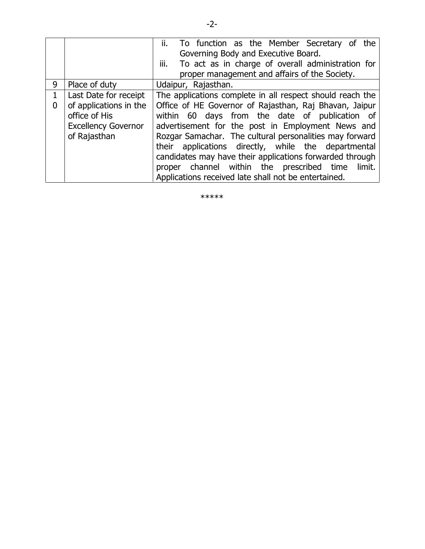|   |                            | To function as the Member Secretary of the<br>ii.         |
|---|----------------------------|-----------------------------------------------------------|
|   |                            | Governing Body and Executive Board.                       |
|   |                            | To act as in charge of overall administration for<br>iii. |
|   |                            | proper management and affairs of the Society.             |
| 9 | Place of duty              | Udaipur, Rajasthan.                                       |
| 1 | Last Date for receipt      | The applications complete in all respect should reach the |
| 0 | of applications in the     | Office of HE Governor of Rajasthan, Raj Bhavan, Jaipur    |
|   | office of His              | within 60 days from the date of publication of            |
|   | <b>Excellency Governor</b> | advertisement for the post in Employment News and         |
|   | of Rajasthan               | Rozgar Samachar. The cultural personalities may forward   |
|   |                            | applications directly, while the departmental<br>their    |
|   |                            | candidates may have their applications forwarded through  |
|   |                            | channel within the prescribed time<br>limit.<br>proper    |
|   |                            | Applications received late shall not be entertained.      |

\*\*\*\*\*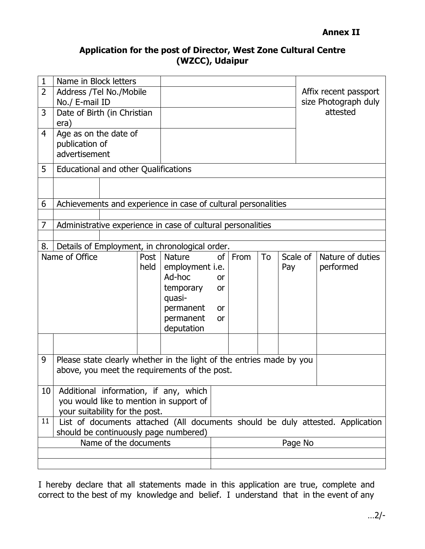## Application for the post of Director, West Zone Cultural Centre (WZCC), Udaipur

| $\mathbf{1}$                          | Name in Block letters                                                                |  |      |                                                                      |           |      |    |          |  |                       |
|---------------------------------------|--------------------------------------------------------------------------------------|--|------|----------------------------------------------------------------------|-----------|------|----|----------|--|-----------------------|
| 2                                     | Address /Tel No./Mobile                                                              |  |      |                                                                      |           |      |    |          |  | Affix recent passport |
|                                       | No./ E-mail ID                                                                       |  |      |                                                                      |           |      |    |          |  | size Photograph duly  |
| 3                                     | Date of Birth (in Christian                                                          |  |      |                                                                      |           |      |    |          |  | attested              |
|                                       | era)                                                                                 |  |      |                                                                      |           |      |    |          |  |                       |
| 4                                     | Age as on the date of                                                                |  |      |                                                                      |           |      |    |          |  |                       |
|                                       | publication of                                                                       |  |      |                                                                      |           |      |    |          |  |                       |
|                                       | advertisement                                                                        |  |      |                                                                      |           |      |    |          |  |                       |
| 5                                     | <b>Educational and other Qualifications</b>                                          |  |      |                                                                      |           |      |    |          |  |                       |
|                                       |                                                                                      |  |      |                                                                      |           |      |    |          |  |                       |
| 6                                     |                                                                                      |  |      | Achievements and experience in case of cultural personalities        |           |      |    |          |  |                       |
|                                       |                                                                                      |  |      |                                                                      |           |      |    |          |  |                       |
| 7                                     |                                                                                      |  |      | Administrative experience in case of cultural personalities          |           |      |    |          |  |                       |
|                                       |                                                                                      |  |      |                                                                      |           |      |    |          |  |                       |
| 8.                                    |                                                                                      |  |      | Details of Employment, in chronological order.                       |           |      |    |          |  |                       |
|                                       | Name of Office                                                                       |  | Post | <b>Nature</b>                                                        | of        | From | To | Scale of |  | Nature of duties      |
|                                       |                                                                                      |  | held | employment <i>i.e.</i>                                               |           |      |    | Pay      |  | performed             |
|                                       |                                                                                      |  |      | Ad-hoc                                                               | <b>or</b> |      |    |          |  |                       |
|                                       |                                                                                      |  |      | temporary                                                            | or        |      |    |          |  |                       |
|                                       |                                                                                      |  |      | quasi-                                                               |           |      |    |          |  |                       |
|                                       |                                                                                      |  |      | permanent                                                            | <b>or</b> |      |    |          |  |                       |
|                                       |                                                                                      |  |      | permanent<br>deputation                                              | <b>or</b> |      |    |          |  |                       |
|                                       |                                                                                      |  |      |                                                                      |           |      |    |          |  |                       |
|                                       |                                                                                      |  |      |                                                                      |           |      |    |          |  |                       |
| 9                                     |                                                                                      |  |      | Please state clearly whether in the light of the entries made by you |           |      |    |          |  |                       |
|                                       | above, you meet the requirements of the post.                                        |  |      |                                                                      |           |      |    |          |  |                       |
|                                       |                                                                                      |  |      |                                                                      |           |      |    |          |  |                       |
| 10                                    |                                                                                      |  |      | Additional information, if any, which                                |           |      |    |          |  |                       |
|                                       | you would like to mention in support of                                              |  |      |                                                                      |           |      |    |          |  |                       |
|                                       | your suitability for the post.                                                       |  |      |                                                                      |           |      |    |          |  |                       |
|                                       | List of documents attached (All documents should be duly attested. Application<br>11 |  |      |                                                                      |           |      |    |          |  |                       |
| should be continuously page numbered) |                                                                                      |  |      |                                                                      |           |      |    |          |  |                       |
| Name of the documents                 |                                                                                      |  |      |                                                                      |           |      |    | Page No  |  |                       |
|                                       |                                                                                      |  |      |                                                                      |           |      |    |          |  |                       |
|                                       |                                                                                      |  |      |                                                                      |           |      |    |          |  |                       |

I hereby declare that all statements made in this application are true, complete and correct to the best of my knowledge and belief. I understand that in the event of any